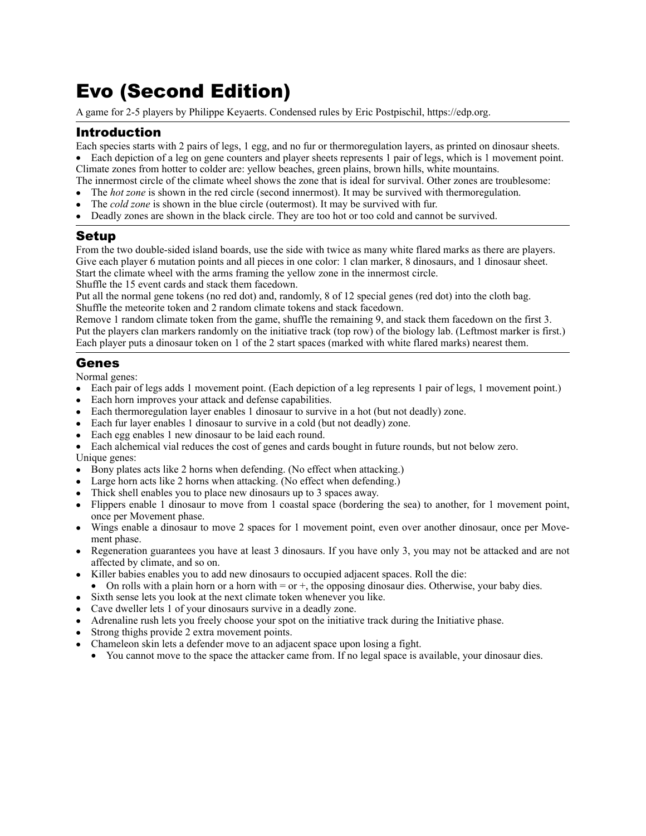# Evo (Second Edition)

A game for 2-5 players by Philippe Keyaerts. Condensed rules by Eric Postpischil, [https://edp.org.](https://edp.org)

# Introduction

Each species starts with 2 pairs of legs, 1 egg, and no fur or thermoregulation layers, as printed on dinosaur sheets.

• Each depiction of a leg on gene counters and player sheets represents 1 pair of legs, which is 1 movement point. Climate zones from hotter to colder are: yellow beaches, green plains, brown hills, white mountains.

The innermost circle of the climate wheel shows the zone that is ideal for survival. Other zones are troublesome:

- The *hot zone* is shown in the red circle (second innermost). It may be survived with thermoregulation.
- The *cold zone* is shown in the blue circle (outermost). It may be survived with fur.
- Deadly zones are shown in the black circle. They are too hot or too cold and cannot be survived.

# Setup

From the two double-sided island boards, use the side with twice as many white flared marks as there are players. Give each player 6 mutation points and all pieces in one color: 1 clan marker, 8 dinosaurs, and 1 dinosaur sheet. Start the climate wheel with the arms framing the yellow zone in the innermost circle.

Shuffle the 15 event cards and stack them facedown.

Put all the normal gene tokens (no red dot) and, randomly, 8 of 12 special genes (red dot) into the cloth bag. Shuffle the meteorite token and 2 random climate tokens and stack facedown.

Remove 1 random climate token from the game, shuffle the remaining 9, and stack them facedown on the first 3. Put the players clan markers randomly on the initiative track (top row) of the biology lab. (Leftmost marker is first.) Each player puts a dinosaur token on 1 of the 2 start spaces (marked with white flared marks) nearest them.

## Genes

Normal genes:

- Each pair of legs adds 1 movement point. (Each depiction of a leg represents 1 pair of legs, 1 movement point.)
- Each horn improves your attack and defense capabilities.
- Each thermoregulation layer enables 1 dinosaur to survive in a hot (but not deadly) zone.
- Each fur layer enables 1 dinosaur to survive in a cold (but not deadly) zone.
- Each egg enables 1 new dinosaur to be laid each round.
- Each alchemical vial reduces the cost of genes and cards bought in future rounds, but not below zero. Unique genes:

- Bony plates acts like 2 horns when defending. (No effect when attacking.)
- Large horn acts like 2 horns when attacking. (No effect when defending.)
- Thick shell enables you to place new dinosaurs up to 3 spaces away.
- Flippers enable 1 dinosaur to move from 1 coastal space (bordering the sea) to another, for 1 movement point, once per Movement phase.
- Wings enable a dinosaur to move 2 spaces for 1 movement point, even over another dinosaur, once per Movement phase.
- Regeneration guarantees you have at least 3 dinosaurs. If you have only 3, you may not be attacked and are not affected by climate, and so on.
- Killer babies enables you to add new dinosaurs to occupied adjacent spaces. Roll the die:
- On rolls with a plain horn or a horn with  $=$  or  $+$ , the opposing dinosaur dies. Otherwise, your baby dies.
- Sixth sense lets you look at the next climate token whenever you like.
- Cave dweller lets 1 of your dinosaurs survive in a deadly zone.
- Adrenaline rush lets you freely choose your spot on the initiative track during the Initiative phase.
- Strong thighs provide 2 extra movement points.
- Chameleon skin lets a defender move to an adjacent space upon losing a fight.
	- You cannot move to the space the attacker came from. If no legal space is available, your dinosaur dies.